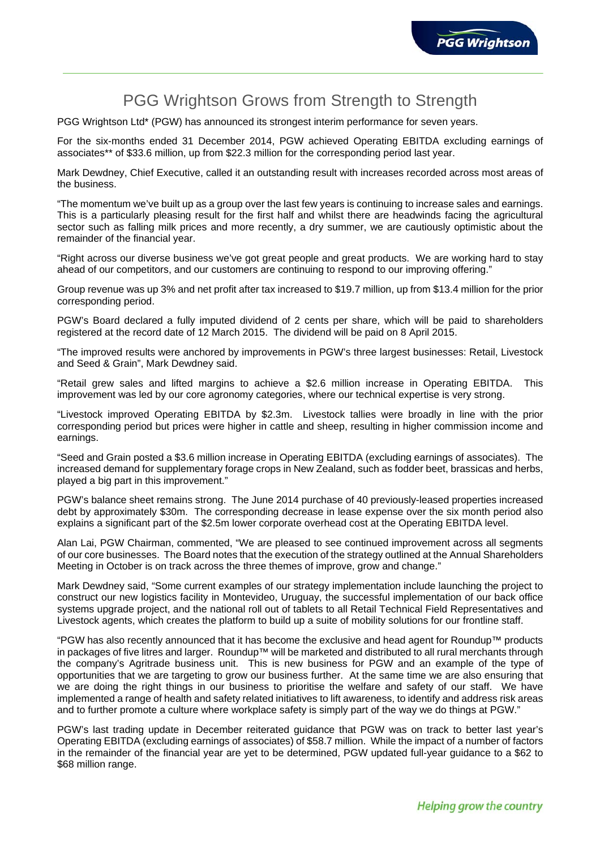

# PGG Wrightson Grows from Strength to Strength

PGG Wrightson Ltd\* (PGW) has announced its strongest interim performance for seven years.

For the six-months ended 31 December 2014, PGW achieved Operating EBITDA excluding earnings of associates\*\* of \$33.6 million, up from \$22.3 million for the corresponding period last year.

Mark Dewdney, Chief Executive, called it an outstanding result with increases recorded across most areas of the business.

"The momentum we've built up as a group over the last few years is continuing to increase sales and earnings. This is a particularly pleasing result for the first half and whilst there are headwinds facing the agricultural sector such as falling milk prices and more recently, a dry summer, we are cautiously optimistic about the remainder of the financial year.

"Right across our diverse business we've got great people and great products. We are working hard to stay ahead of our competitors, and our customers are continuing to respond to our improving offering."

Group revenue was up 3% and net profit after tax increased to \$19.7 million, up from \$13.4 million for the prior corresponding period.

PGW's Board declared a fully imputed dividend of 2 cents per share, which will be paid to shareholders registered at the record date of 12 March 2015. The dividend will be paid on 8 April 2015.

"The improved results were anchored by improvements in PGW's three largest businesses: Retail, Livestock and Seed & Grain", Mark Dewdney said.

"Retail grew sales and lifted margins to achieve a \$2.6 million increase in Operating EBITDA. This improvement was led by our core agronomy categories, where our technical expertise is very strong.

"Livestock improved Operating EBITDA by \$2.3m. Livestock tallies were broadly in line with the prior corresponding period but prices were higher in cattle and sheep, resulting in higher commission income and earnings.

"Seed and Grain posted a \$3.6 million increase in Operating EBITDA (excluding earnings of associates). The increased demand for supplementary forage crops in New Zealand, such as fodder beet, brassicas and herbs, played a big part in this improvement."

PGW's balance sheet remains strong. The June 2014 purchase of 40 previously-leased properties increased debt by approximately \$30m. The corresponding decrease in lease expense over the six month period also explains a significant part of the \$2.5m lower corporate overhead cost at the Operating EBITDA level.

Alan Lai, PGW Chairman, commented, "We are pleased to see continued improvement across all segments of our core businesses. The Board notes that the execution of the strategy outlined at the Annual Shareholders Meeting in October is on track across the three themes of improve, grow and change."

Mark Dewdney said, "Some current examples of our strategy implementation include launching the project to construct our new logistics facility in Montevideo, Uruguay, the successful implementation of our back office systems upgrade project, and the national roll out of tablets to all Retail Technical Field Representatives and Livestock agents, which creates the platform to build up a suite of mobility solutions for our frontline staff.

"PGW has also recently announced that it has become the exclusive and head agent for Roundup™ products in packages of five litres and larger. Roundup™ will be marketed and distributed to all rural merchants through the company's Agritrade business unit. This is new business for PGW and an example of the type of opportunities that we are targeting to grow our business further. At the same time we are also ensuring that we are doing the right things in our business to prioritise the welfare and safety of our staff. We have implemented a range of health and safety related initiatives to lift awareness, to identify and address risk areas and to further promote a culture where workplace safety is simply part of the way we do things at PGW."

PGW's last trading update in December reiterated guidance that PGW was on track to better last year's Operating EBITDA (excluding earnings of associates) of \$58.7 million. While the impact of a number of factors in the remainder of the financial year are yet to be determined, PGW updated full-year guidance to a \$62 to \$68 million range.